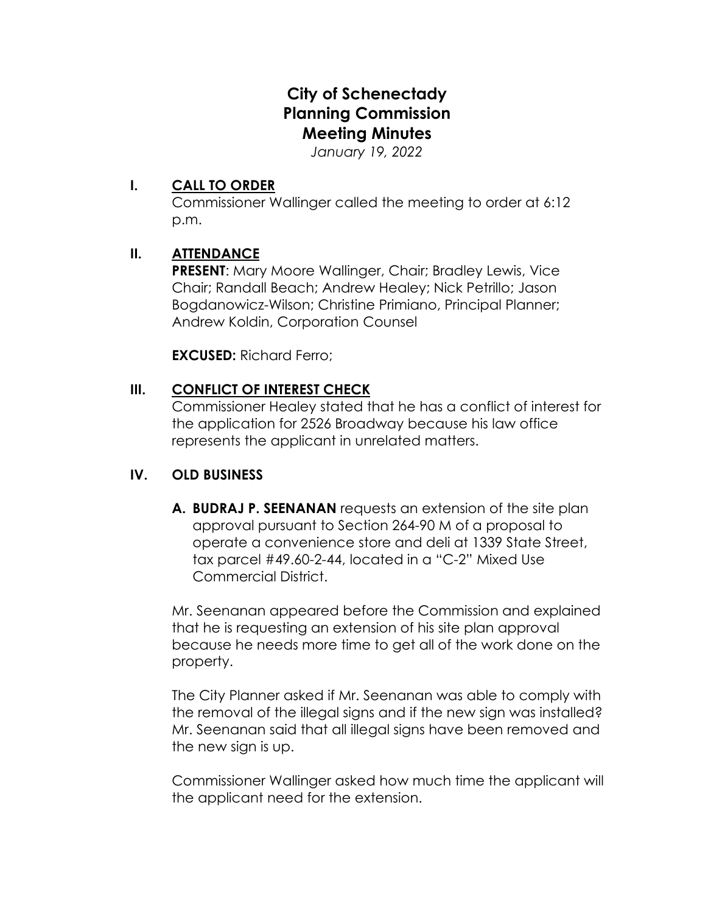# **City of Schenectady Planning Commission Meeting Minutes**

*January 19, 2022*

# **I. CALL TO ORDER**

Commissioner Wallinger called the meeting to order at 6:12 p.m.

# **II. ATTENDANCE**

**PRESENT**: Mary Moore Wallinger, Chair; Bradley Lewis, Vice Chair; Randall Beach; Andrew Healey; Nick Petrillo; Jason Bogdanowicz-Wilson; Christine Primiano, Principal Planner; Andrew Koldin, Corporation Counsel

**EXCUSED:** Richard Ferro;

# **III. CONFLICT OF INTEREST CHECK**

Commissioner Healey stated that he has a conflict of interest for the application for 2526 Broadway because his law office represents the applicant in unrelated matters.

## **IV. OLD BUSINESS**

**A. BUDRAJ P. SEENANAN** requests an extension of the site plan approval pursuant to Section 264-90 M of a proposal to operate a convenience store and deli at 1339 State Street, tax parcel #49.60-2-44, located in a "C-2" Mixed Use Commercial District.

Mr. Seenanan appeared before the Commission and explained that he is requesting an extension of his site plan approval because he needs more time to get all of the work done on the property.

The City Planner asked if Mr. Seenanan was able to comply with the removal of the illegal signs and if the new sign was installed? Mr. Seenanan said that all illegal signs have been removed and the new sign is up.

Commissioner Wallinger asked how much time the applicant will the applicant need for the extension.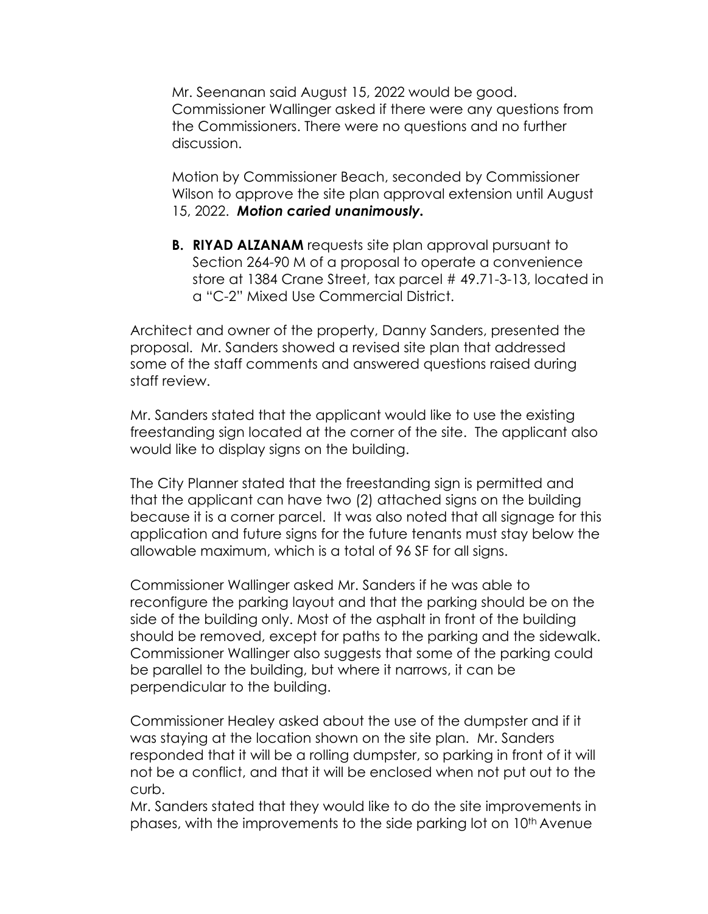Mr. Seenanan said August 15, 2022 would be good. Commissioner Wallinger asked if there were any questions from the Commissioners. There were no questions and no further discussion.

Motion by Commissioner Beach, seconded by Commissioner Wilson to approve the site plan approval extension until August 15, 2022. *Motion caried unanimously.*

**B. RIYAD ALZANAM** requests site plan approval pursuant to Section 264-90 M of a proposal to operate a convenience store at 1384 Crane Street, tax parcel # 49.71-3-13, located in a "C-2" Mixed Use Commercial District.

Architect and owner of the property, Danny Sanders, presented the proposal. Mr. Sanders showed a revised site plan that addressed some of the staff comments and answered questions raised during staff review.

Mr. Sanders stated that the applicant would like to use the existing freestanding sign located at the corner of the site. The applicant also would like to display signs on the building.

The City Planner stated that the freestanding sign is permitted and that the applicant can have two (2) attached signs on the building because it is a corner parcel. It was also noted that all signage for this application and future signs for the future tenants must stay below the allowable maximum, which is a total of 96 SF for all signs.

Commissioner Wallinger asked Mr. Sanders if he was able to reconfigure the parking layout and that the parking should be on the side of the building only. Most of the asphalt in front of the building should be removed, except for paths to the parking and the sidewalk. Commissioner Wallinger also suggests that some of the parking could be parallel to the building, but where it narrows, it can be perpendicular to the building.

Commissioner Healey asked about the use of the dumpster and if it was staying at the location shown on the site plan. Mr. Sanders responded that it will be a rolling dumpster, so parking in front of it will not be a conflict, and that it will be enclosed when not put out to the curb.

Mr. Sanders stated that they would like to do the site improvements in phases, with the improvements to the side parking lot on 10th Avenue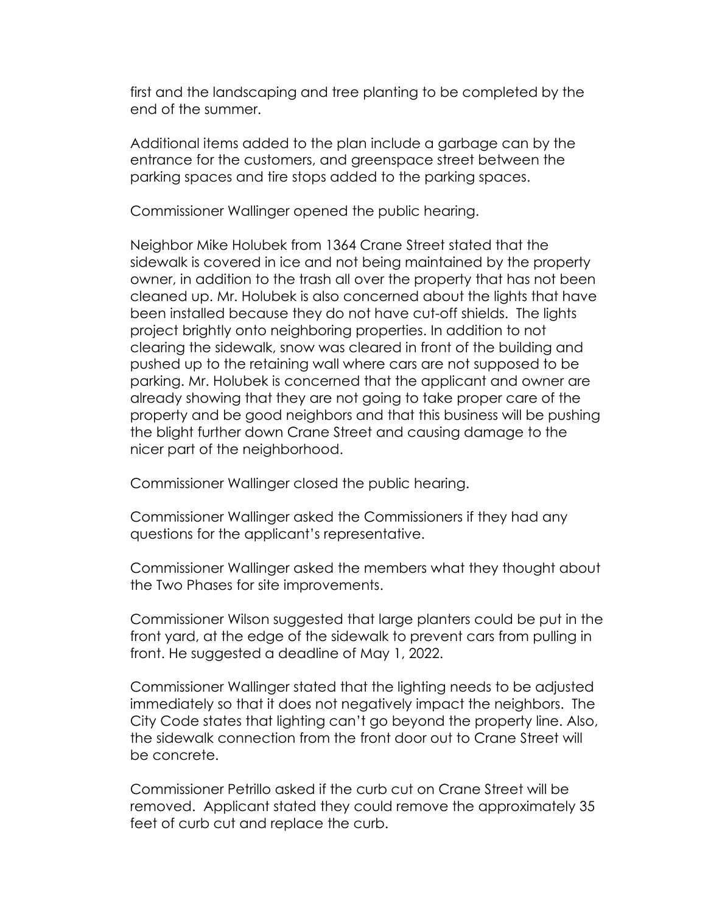first and the landscaping and tree planting to be completed by the end of the summer.

Additional items added to the plan include a garbage can by the entrance for the customers, and greenspace street between the parking spaces and tire stops added to the parking spaces.

Commissioner Wallinger opened the public hearing.

Neighbor Mike Holubek from 1364 Crane Street stated that the sidewalk is covered in ice and not being maintained by the property owner, in addition to the trash all over the property that has not been cleaned up. Mr. Holubek is also concerned about the lights that have been installed because they do not have cut-off shields. The lights project brightly onto neighboring properties. In addition to not clearing the sidewalk, snow was cleared in front of the building and pushed up to the retaining wall where cars are not supposed to be parking. Mr. Holubek is concerned that the applicant and owner are already showing that they are not going to take proper care of the property and be good neighbors and that this business will be pushing the blight further down Crane Street and causing damage to the nicer part of the neighborhood.

Commissioner Wallinger closed the public hearing.

Commissioner Wallinger asked the Commissioners if they had any questions for the applicant's representative.

Commissioner Wallinger asked the members what they thought about the Two Phases for site improvements.

Commissioner Wilson suggested that large planters could be put in the front yard, at the edge of the sidewalk to prevent cars from pulling in front. He suggested a deadline of May 1, 2022.

Commissioner Wallinger stated that the lighting needs to be adjusted immediately so that it does not negatively impact the neighbors. The City Code states that lighting can't go beyond the property line. Also, the sidewalk connection from the front door out to Crane Street will be concrete.

Commissioner Petrillo asked if the curb cut on Crane Street will be removed. Applicant stated they could remove the approximately 35 feet of curb cut and replace the curb.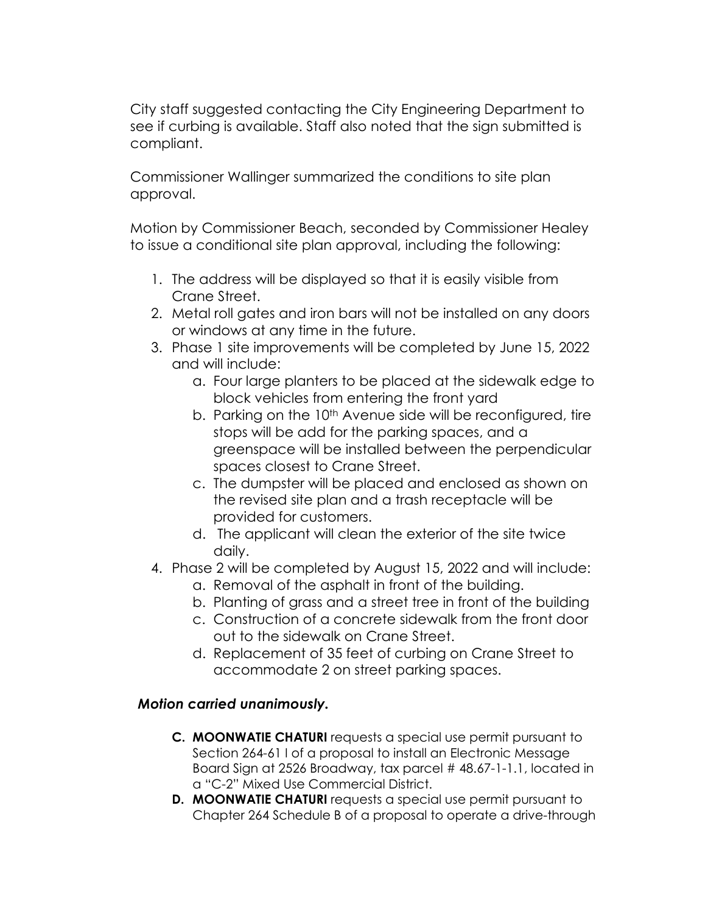City staff suggested contacting the City Engineering Department to see if curbing is available. Staff also noted that the sign submitted is compliant.

Commissioner Wallinger summarized the conditions to site plan approval.

Motion by Commissioner Beach, seconded by Commissioner Healey to issue a conditional site plan approval, including the following:

- 1. The address will be displayed so that it is easily visible from Crane Street.
- 2. Metal roll gates and iron bars will not be installed on any doors or windows at any time in the future.
- 3. Phase 1 site improvements will be completed by June 15, 2022 and will include:
	- a. Four large planters to be placed at the sidewalk edge to block vehicles from entering the front yard
	- b. Parking on the 10<sup>th</sup> Avenue side will be reconfigured, tire stops will be add for the parking spaces, and a greenspace will be installed between the perpendicular spaces closest to Crane Street.
	- c. The dumpster will be placed and enclosed as shown on the revised site plan and a trash receptacle will be provided for customers.
	- d. The applicant will clean the exterior of the site twice daily.
- 4. Phase 2 will be completed by August 15, 2022 and will include:
	- a. Removal of the asphalt in front of the building.
	- b. Planting of grass and a street tree in front of the building
	- c. Construction of a concrete sidewalk from the front door out to the sidewalk on Crane Street.
	- d. Replacement of 35 feet of curbing on Crane Street to accommodate 2 on street parking spaces.

# *Motion carried unanimously.*

- **C. MOONWATIE CHATURI** requests a special use permit pursuant to Section 264-61 I of a proposal to install an Electronic Message Board Sign at 2526 Broadway, tax parcel # 48.67-1-1.1, located in a "C-2" Mixed Use Commercial District.
- **D. MOONWATIE CHATURI** requests a special use permit pursuant to Chapter 264 Schedule B of a proposal to operate a drive-through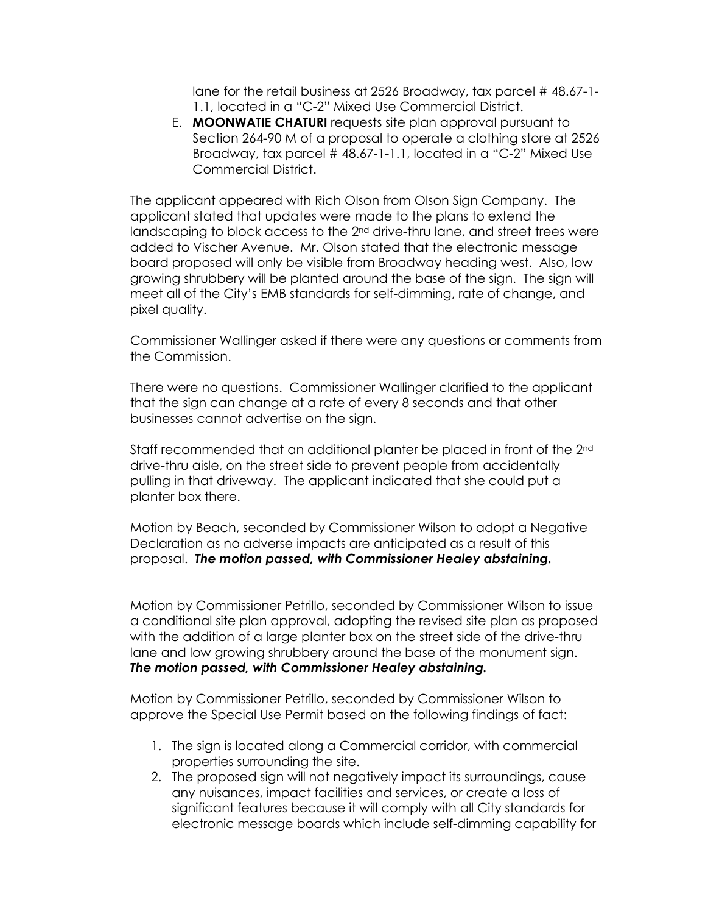lane for the retail business at 2526 Broadway, tax parcel # 48.67-1- 1.1, located in a "C-2" Mixed Use Commercial District.

E. **MOONWATIE CHATURI** requests site plan approval pursuant to Section 264-90 M of a proposal to operate a clothing store at 2526 Broadway, tax parcel # 48.67-1-1.1, located in a "C-2" Mixed Use Commercial District.

The applicant appeared with Rich Olson from Olson Sign Company. The applicant stated that updates were made to the plans to extend the landscaping to block access to the 2<sup>nd</sup> drive-thru lane, and street trees were added to Vischer Avenue. Mr. Olson stated that the electronic message board proposed will only be visible from Broadway heading west. Also, low growing shrubbery will be planted around the base of the sign. The sign will meet all of the City's EMB standards for self-dimming, rate of change, and pixel quality.

Commissioner Wallinger asked if there were any questions or comments from the Commission.

There were no questions. Commissioner Wallinger clarified to the applicant that the sign can change at a rate of every 8 seconds and that other businesses cannot advertise on the sign.

Staff recommended that an additional planter be placed in front of the 2<sup>nd</sup> drive-thru aisle, on the street side to prevent people from accidentally pulling in that driveway. The applicant indicated that she could put a planter box there.

Motion by Beach, seconded by Commissioner Wilson to adopt a Negative Declaration as no adverse impacts are anticipated as a result of this proposal. *The motion passed, with Commissioner Healey abstaining.*

Motion by Commissioner Petrillo, seconded by Commissioner Wilson to issue a conditional site plan approval, adopting the revised site plan as proposed with the addition of a large planter box on the street side of the drive-thru lane and low growing shrubbery around the base of the monument sign. *The motion passed, with Commissioner Healey abstaining.*

Motion by Commissioner Petrillo, seconded by Commissioner Wilson to approve the Special Use Permit based on the following findings of fact:

- 1. The sign is located along a Commercial corridor, with commercial properties surrounding the site.
- 2. The proposed sign will not negatively impact its surroundings, cause any nuisances, impact facilities and services, or create a loss of significant features because it will comply with all City standards for electronic message boards which include self-dimming capability for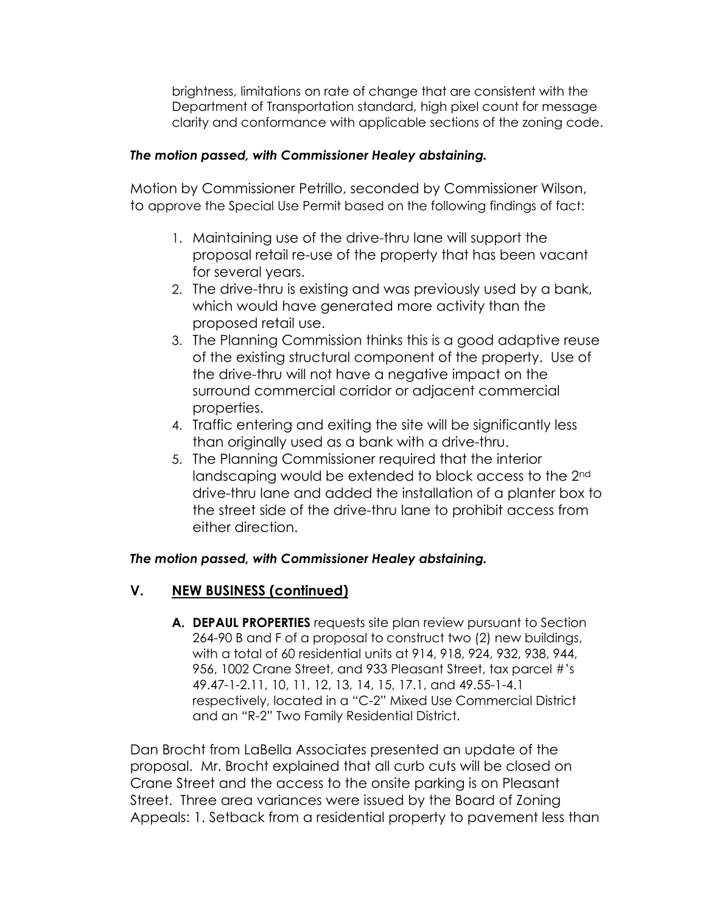brightness, limitations on rate of change that are consistent with the Department of Transportation standard, high pixel count for message clarity and conformance with applicable sections of the zoning code.

#### *The motion passed, with Commissioner Healey abstaining.*

Motion by Commissioner Petrillo, seconded by Commissioner Wilson, to approve the Special Use Permit based on the following findings of fact:

- 1. Maintaining use of the drive-thru lane will support the proposal retail re-use of the property that has been vacant for several years.
- 2. The drive-thru is existing and was previously used by a bank, which would have generated more activity than the proposed retail use.
- 3. The Planning Commission thinks this is a good adaptive reuse of the existing structural component of the property. Use of the drive-thru will not have a negative impact on the surround commercial corridor or adjacent commercial properties.
- 4. Traffic entering and exiting the site will be significantly less than originally used as a bank with a drive-thru.
- 5. The Planning Commissioner required that the interior landscaping would be extended to block access to the 2<sup>nd</sup> drive-thru lane and added the installation of a planter box to the street side of the drive-thru lane to prohibit access from either direction.

#### *The motion passed, with Commissioner Healey abstaining.*

## **V. NEW BUSINESS (continued)**

**A. DEPAUL PROPERTIES** requests site plan review pursuant to Section 264-90 B and F of a proposal to construct two (2) new buildings, with a total of 60 residential units at 914, 918, 924, 932, 938, 944, 956, 1002 Crane Street, and 933 Pleasant Street, tax parcel #'s 49.47-1-2.11, 10, 11, 12, 13, 14, 15, 17.1, and 49.55-1-4.1 respectively, located in a "C-2" Mixed Use Commercial District and an "R-2" Two Family Residential District.

Dan Brocht from LaBella Associates presented an update of the proposal. Mr. Brocht explained that all curb cuts will be closed on Crane Street and the access to the onsite parking is on Pleasant Street. Three area variances were issued by the Board of Zoning Appeals: 1. Setback from a residential property to pavement less than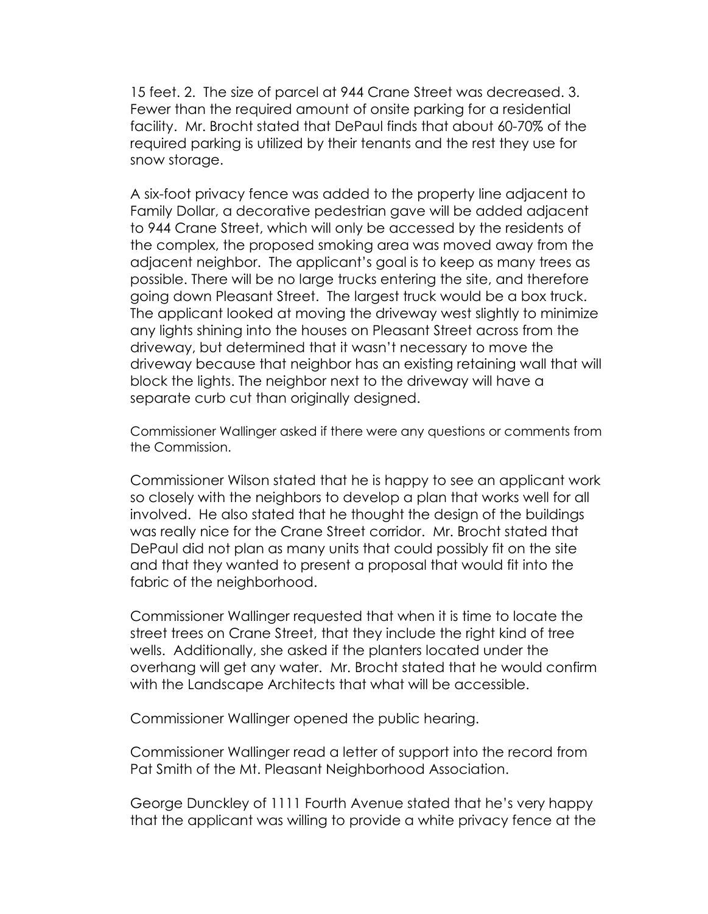15 feet. 2. The size of parcel at 944 Crane Street was decreased. 3. Fewer than the required amount of onsite parking for a residential facility. Mr. Brocht stated that DePaul finds that about 60-70% of the required parking is utilized by their tenants and the rest they use for snow storage.

A six-foot privacy fence was added to the property line adjacent to Family Dollar, a decorative pedestrian gave will be added adjacent to 944 Crane Street, which will only be accessed by the residents of the complex, the proposed smoking area was moved away from the adjacent neighbor. The applicant's goal is to keep as many trees as possible. There will be no large trucks entering the site, and therefore going down Pleasant Street. The largest truck would be a box truck. The applicant looked at moving the driveway west slightly to minimize any lights shining into the houses on Pleasant Street across from the driveway, but determined that it wasn't necessary to move the driveway because that neighbor has an existing retaining wall that will block the lights. The neighbor next to the driveway will have a separate curb cut than originally designed.

Commissioner Wallinger asked if there were any questions or comments from the Commission.

Commissioner Wilson stated that he is happy to see an applicant work so closely with the neighbors to develop a plan that works well for all involved. He also stated that he thought the design of the buildings was really nice for the Crane Street corridor. Mr. Brocht stated that DePaul did not plan as many units that could possibly fit on the site and that they wanted to present a proposal that would fit into the fabric of the neighborhood.

Commissioner Wallinger requested that when it is time to locate the street trees on Crane Street, that they include the right kind of tree wells. Additionally, she asked if the planters located under the overhang will get any water. Mr. Brocht stated that he would confirm with the Landscape Architects that what will be accessible.

Commissioner Wallinger opened the public hearing.

Commissioner Wallinger read a letter of support into the record from Pat Smith of the Mt. Pleasant Neighborhood Association.

George Dunckley of 1111 Fourth Avenue stated that he's very happy that the applicant was willing to provide a white privacy fence at the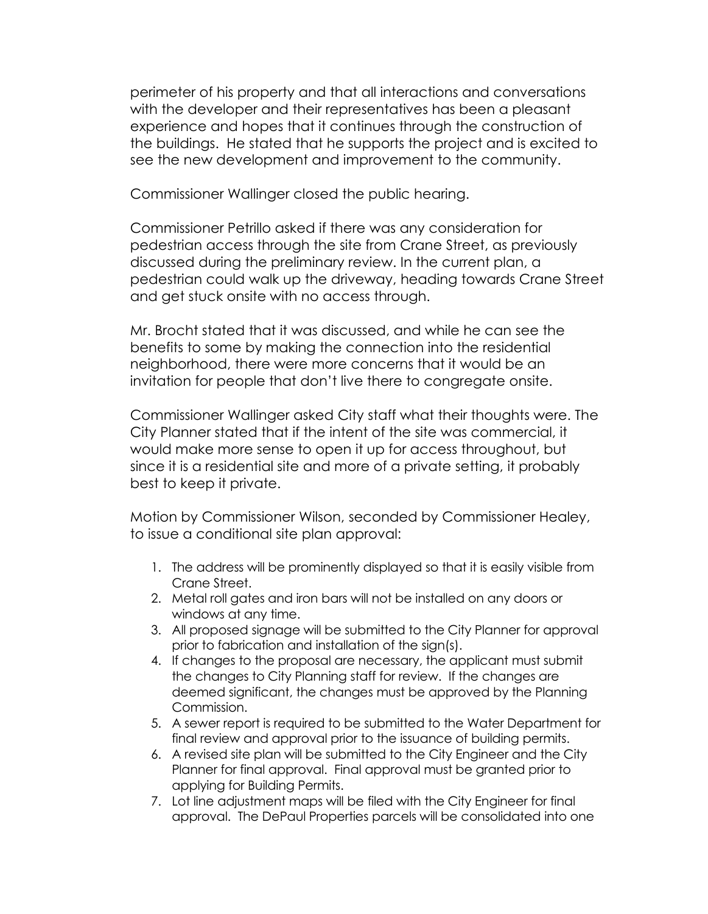perimeter of his property and that all interactions and conversations with the developer and their representatives has been a pleasant experience and hopes that it continues through the construction of the buildings. He stated that he supports the project and is excited to see the new development and improvement to the community.

Commissioner Wallinger closed the public hearing.

Commissioner Petrillo asked if there was any consideration for pedestrian access through the site from Crane Street, as previously discussed during the preliminary review. In the current plan, a pedestrian could walk up the driveway, heading towards Crane Street and get stuck onsite with no access through.

Mr. Brocht stated that it was discussed, and while he can see the benefits to some by making the connection into the residential neighborhood, there were more concerns that it would be an invitation for people that don't live there to congregate onsite.

Commissioner Wallinger asked City staff what their thoughts were. The City Planner stated that if the intent of the site was commercial, it would make more sense to open it up for access throughout, but since it is a residential site and more of a private setting, it probably best to keep it private.

Motion by Commissioner Wilson, seconded by Commissioner Healey, to issue a conditional site plan approval:

- 1. The address will be prominently displayed so that it is easily visible from Crane Street.
- 2. Metal roll gates and iron bars will not be installed on any doors or windows at any time.
- 3. All proposed signage will be submitted to the City Planner for approval prior to fabrication and installation of the sign(s).
- 4. If changes to the proposal are necessary, the applicant must submit the changes to City Planning staff for review. If the changes are deemed significant, the changes must be approved by the Planning Commission.
- 5. A sewer report is required to be submitted to the Water Department for final review and approval prior to the issuance of building permits.
- 6. A revised site plan will be submitted to the City Engineer and the City Planner for final approval. Final approval must be granted prior to applying for Building Permits.
- 7. Lot line adjustment maps will be filed with the City Engineer for final approval. The DePaul Properties parcels will be consolidated into one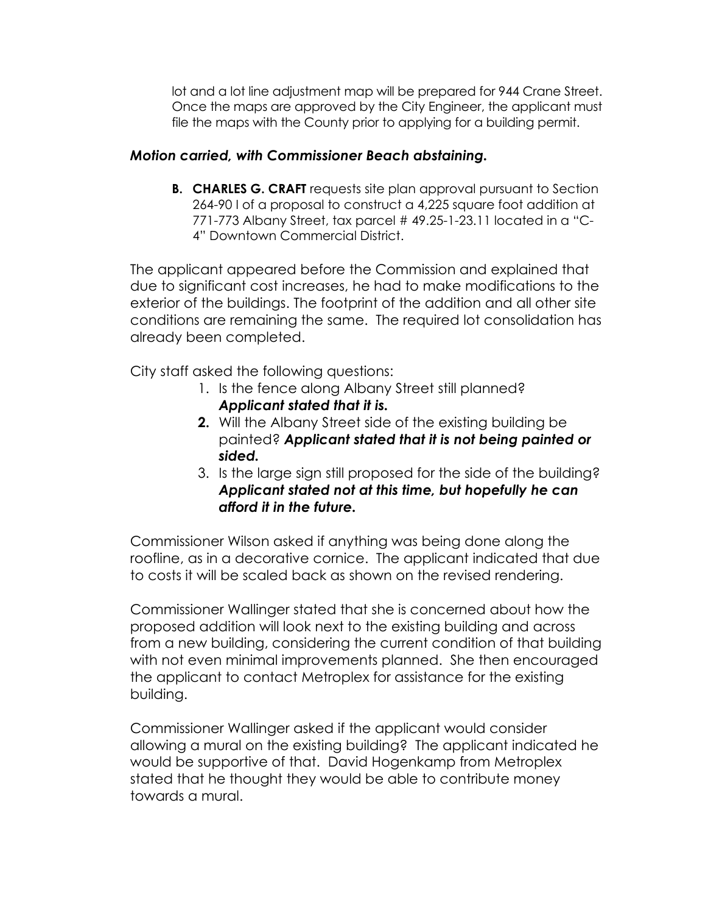lot and a lot line adjustment map will be prepared for 944 Crane Street. Once the maps are approved by the City Engineer, the applicant must file the maps with the County prior to applying for a building permit.

## *Motion carried, with Commissioner Beach abstaining.*

**B. CHARLES G. CRAFT** requests site plan approval pursuant to Section 264-90 I of a proposal to construct a 4,225 square foot addition at 771-773 Albany Street, tax parcel # 49.25-1-23.11 located in a "C-4" Downtown Commercial District.

The applicant appeared before the Commission and explained that due to significant cost increases, he had to make modifications to the exterior of the buildings. The footprint of the addition and all other site conditions are remaining the same. The required lot consolidation has already been completed.

City staff asked the following questions:

- 1. Is the fence along Albany Street still planned? *Applicant stated that it is.*
- **2.** Will the Albany Street side of the existing building be painted? *Applicant stated that it is not being painted or sided.*
- 3. Is the large sign still proposed for the side of the building? *Applicant stated not at this time, but hopefully he can afford it in the future.*

Commissioner Wilson asked if anything was being done along the roofline, as in a decorative cornice. The applicant indicated that due to costs it will be scaled back as shown on the revised rendering.

Commissioner Wallinger stated that she is concerned about how the proposed addition will look next to the existing building and across from a new building, considering the current condition of that building with not even minimal improvements planned. She then encouraged the applicant to contact Metroplex for assistance for the existing building.

Commissioner Wallinger asked if the applicant would consider allowing a mural on the existing building? The applicant indicated he would be supportive of that. David Hogenkamp from Metroplex stated that he thought they would be able to contribute money towards a mural.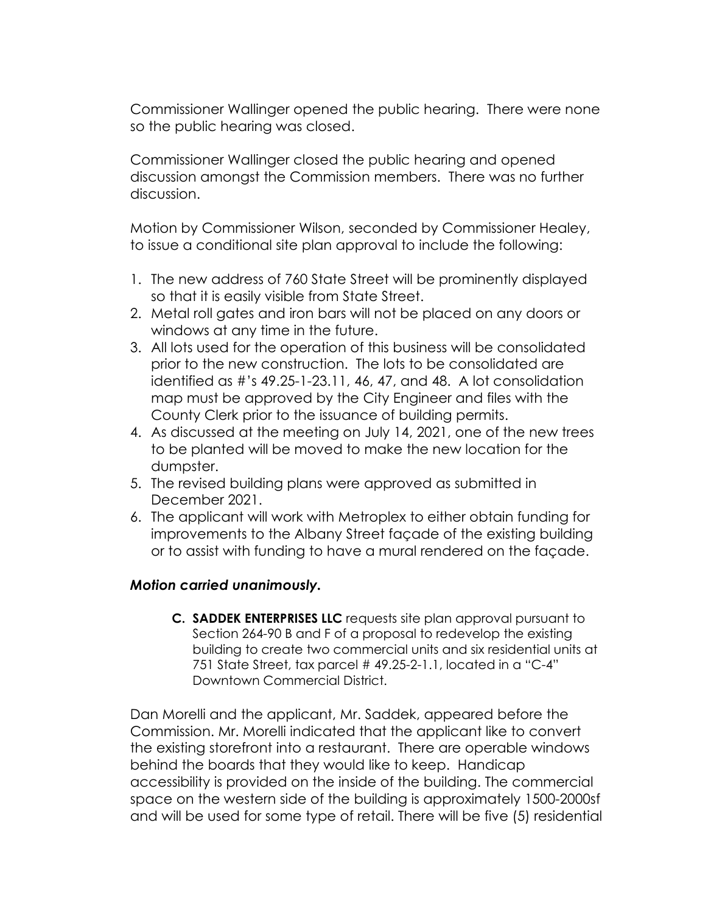Commissioner Wallinger opened the public hearing. There were none so the public hearing was closed.

Commissioner Wallinger closed the public hearing and opened discussion amongst the Commission members. There was no further discussion.

Motion by Commissioner Wilson, seconded by Commissioner Healey, to issue a conditional site plan approval to include the following:

- 1. The new address of 760 State Street will be prominently displayed so that it is easily visible from State Street.
- 2. Metal roll gates and iron bars will not be placed on any doors or windows at any time in the future.
- 3. All lots used for the operation of this business will be consolidated prior to the new construction. The lots to be consolidated are identified as #'s 49.25-1-23.11, 46, 47, and 48. A lot consolidation map must be approved by the City Engineer and files with the County Clerk prior to the issuance of building permits.
- 4. As discussed at the meeting on July 14, 2021, one of the new trees to be planted will be moved to make the new location for the dumpster.
- 5. The revised building plans were approved as submitted in December 2021.
- 6. The applicant will work with Metroplex to either obtain funding for improvements to the Albany Street façade of the existing building or to assist with funding to have a mural rendered on the façade.

## *Motion carried unanimously.*

**C. SADDEK ENTERPRISES LLC** requests site plan approval pursuant to Section 264-90 B and F of a proposal to redevelop the existing building to create two commercial units and six residential units at 751 State Street, tax parcel # 49.25-2-1.1, located in a "C-4" Downtown Commercial District.

Dan Morelli and the applicant, Mr. Saddek, appeared before the Commission. Mr. Morelli indicated that the applicant like to convert the existing storefront into a restaurant. There are operable windows behind the boards that they would like to keep. Handicap accessibility is provided on the inside of the building. The commercial space on the western side of the building is approximately 1500-2000sf and will be used for some type of retail. There will be five (5) residential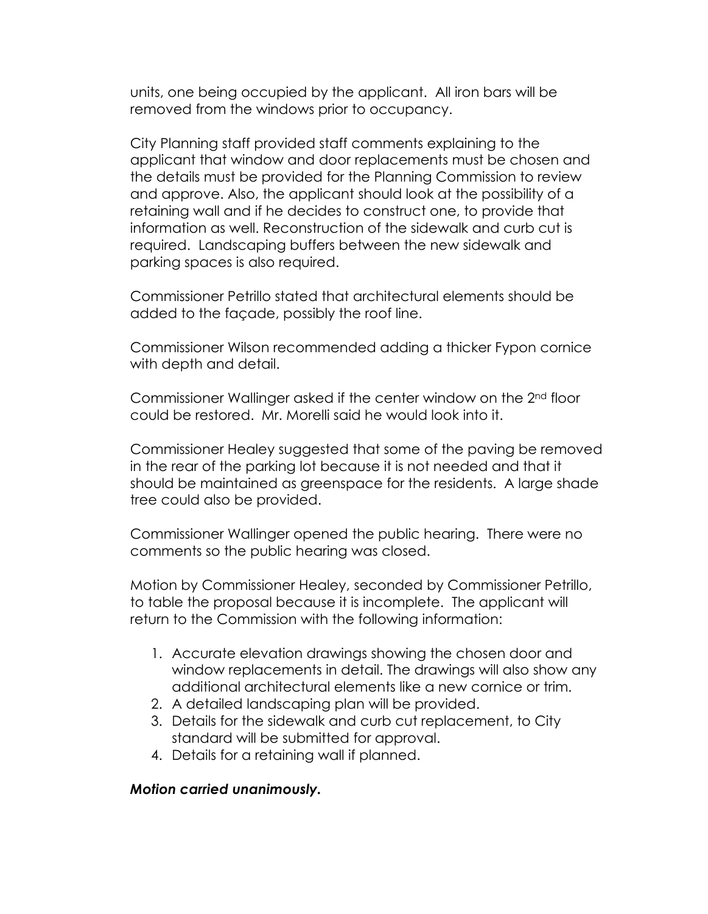units, one being occupied by the applicant. All iron bars will be removed from the windows prior to occupancy.

City Planning staff provided staff comments explaining to the applicant that window and door replacements must be chosen and the details must be provided for the Planning Commission to review and approve. Also, the applicant should look at the possibility of a retaining wall and if he decides to construct one, to provide that information as well. Reconstruction of the sidewalk and curb cut is required. Landscaping buffers between the new sidewalk and parking spaces is also required.

Commissioner Petrillo stated that architectural elements should be added to the façade, possibly the roof line.

Commissioner Wilson recommended adding a thicker Fypon cornice with depth and detail.

Commissioner Wallinger asked if the center window on the 2nd floor could be restored. Mr. Morelli said he would look into it.

Commissioner Healey suggested that some of the paving be removed in the rear of the parking lot because it is not needed and that it should be maintained as greenspace for the residents. A large shade tree could also be provided.

Commissioner Wallinger opened the public hearing. There were no comments so the public hearing was closed.

Motion by Commissioner Healey, seconded by Commissioner Petrillo, to table the proposal because it is incomplete. The applicant will return to the Commission with the following information:

- 1. Accurate elevation drawings showing the chosen door and window replacements in detail. The drawings will also show any additional architectural elements like a new cornice or trim.
- 2. A detailed landscaping plan will be provided.
- 3. Details for the sidewalk and curb cut replacement, to City standard will be submitted for approval.
- 4. Details for a retaining wall if planned.

#### *Motion carried unanimously.*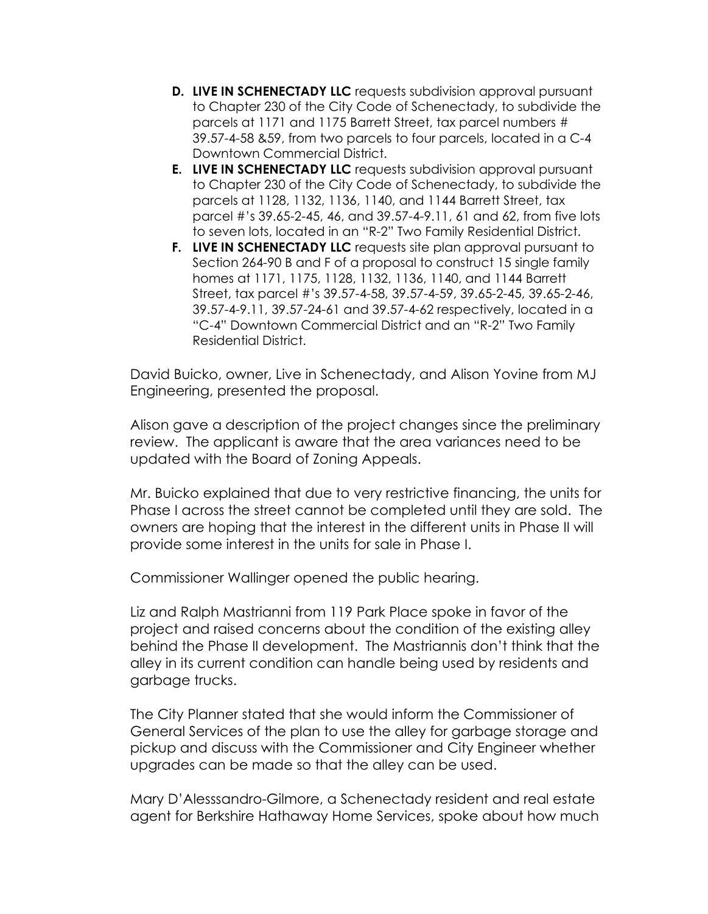- **D. LIVE IN SCHENECTADY LLC** requests subdivision approval pursuant to Chapter 230 of the City Code of Schenectady, to subdivide the parcels at 1171 and 1175 Barrett Street, tax parcel numbers # 39.57-4-58 &59, from two parcels to four parcels, located in a C-4 Downtown Commercial District.
- **E. LIVE IN SCHENECTADY LLC** requests subdivision approval pursuant to Chapter 230 of the City Code of Schenectady, to subdivide the parcels at 1128, 1132, 1136, 1140, and 1144 Barrett Street, tax parcel #'s 39.65-2-45, 46, and 39.57-4-9.11, 61 and 62, from five lots to seven lots, located in an "R-2" Two Family Residential District.
- **F. LIVE IN SCHENECTADY LLC** requests site plan approval pursuant to Section 264-90 B and F of a proposal to construct 15 single family homes at 1171, 1175, 1128, 1132, 1136, 1140, and 1144 Barrett Street, tax parcel #'s 39.57-4-58, 39.57-4-59, 39.65-2-45, 39.65-2-46, 39.57-4-9.11, 39.57-24-61 and 39.57-4-62 respectively, located in a "C-4" Downtown Commercial District and an "R-2" Two Family Residential District.

David Buicko, owner, Live in Schenectady, and Alison Yovine from MJ Engineering, presented the proposal.

Alison gave a description of the project changes since the preliminary review. The applicant is aware that the area variances need to be updated with the Board of Zoning Appeals.

Mr. Buicko explained that due to very restrictive financing, the units for Phase I across the street cannot be completed until they are sold. The owners are hoping that the interest in the different units in Phase II will provide some interest in the units for sale in Phase I.

Commissioner Wallinger opened the public hearing.

Liz and Ralph Mastrianni from 119 Park Place spoke in favor of the project and raised concerns about the condition of the existing alley behind the Phase II development. The Mastriannis don't think that the alley in its current condition can handle being used by residents and garbage trucks.

The City Planner stated that she would inform the Commissioner of General Services of the plan to use the alley for garbage storage and pickup and discuss with the Commissioner and City Engineer whether upgrades can be made so that the alley can be used.

Mary D'Alesssandro-Gilmore, a Schenectady resident and real estate agent for Berkshire Hathaway Home Services, spoke about how much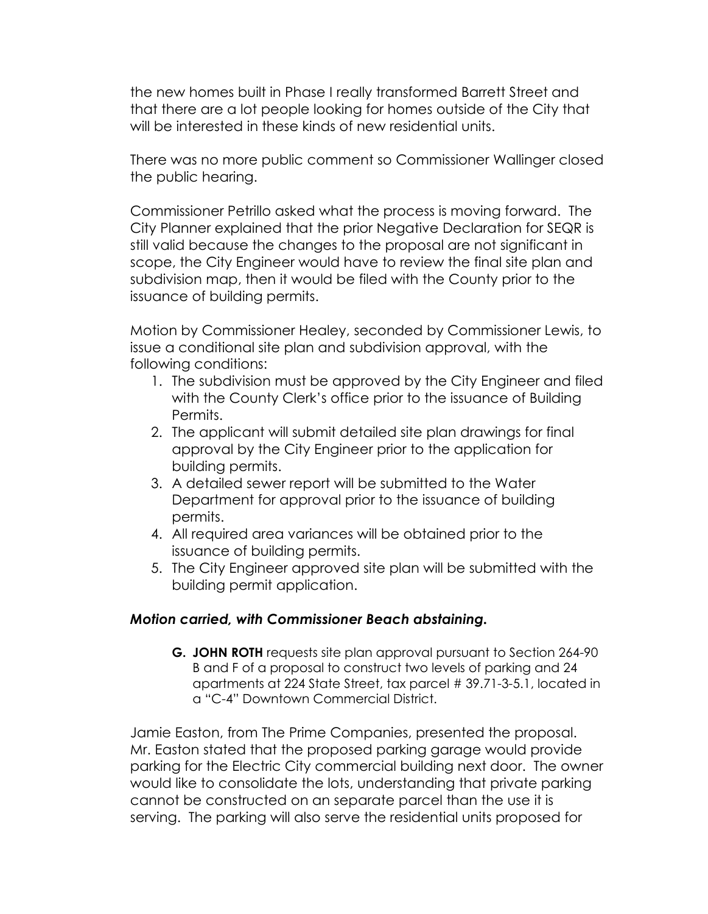the new homes built in Phase I really transformed Barrett Street and that there are a lot people looking for homes outside of the City that will be interested in these kinds of new residential units.

There was no more public comment so Commissioner Wallinger closed the public hearing.

Commissioner Petrillo asked what the process is moving forward. The City Planner explained that the prior Negative Declaration for SEQR is still valid because the changes to the proposal are not significant in scope, the City Engineer would have to review the final site plan and subdivision map, then it would be filed with the County prior to the issuance of building permits.

Motion by Commissioner Healey, seconded by Commissioner Lewis, to issue a conditional site plan and subdivision approval, with the following conditions:

- 1. The subdivision must be approved by the City Engineer and filed with the County Clerk's office prior to the issuance of Building Permits.
- 2. The applicant will submit detailed site plan drawings for final approval by the City Engineer prior to the application for building permits.
- 3. A detailed sewer report will be submitted to the Water Department for approval prior to the issuance of building permits.
- 4. All required area variances will be obtained prior to the issuance of building permits.
- 5. The City Engineer approved site plan will be submitted with the building permit application.

## *Motion carried, with Commissioner Beach abstaining.*

**G. JOHN ROTH** requests site plan approval pursuant to Section 264-90 B and F of a proposal to construct two levels of parking and 24 apartments at 224 State Street, tax parcel # 39.71-3-5.1, located in a "C-4" Downtown Commercial District.

Jamie Easton, from The Prime Companies, presented the proposal. Mr. Easton stated that the proposed parking garage would provide parking for the Electric City commercial building next door. The owner would like to consolidate the lots, understanding that private parking cannot be constructed on an separate parcel than the use it is serving. The parking will also serve the residential units proposed for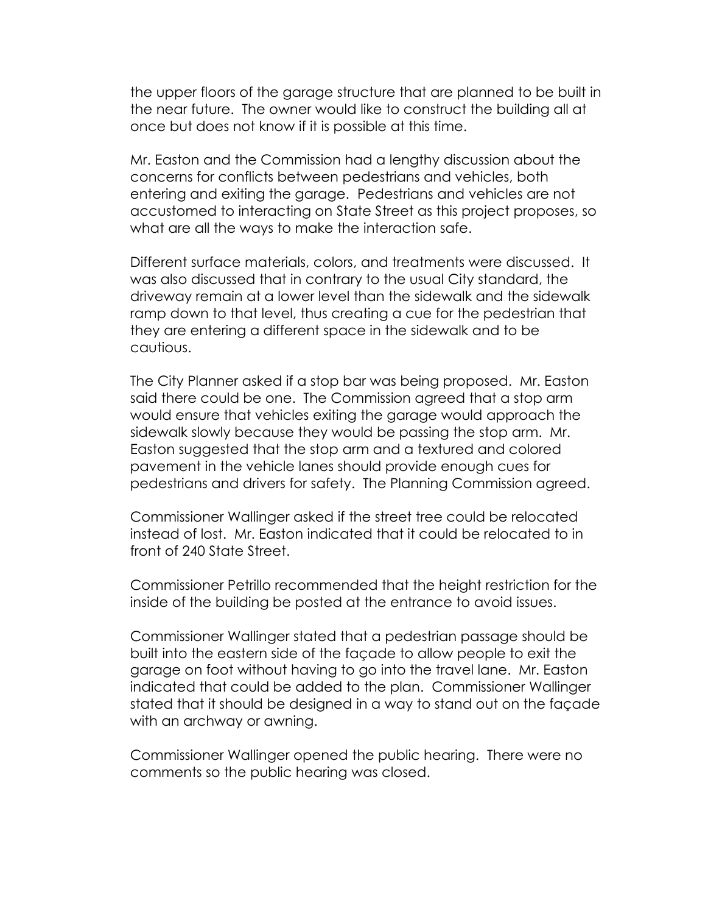the upper floors of the garage structure that are planned to be built in the near future. The owner would like to construct the building all at once but does not know if it is possible at this time.

Mr. Easton and the Commission had a lengthy discussion about the concerns for conflicts between pedestrians and vehicles, both entering and exiting the garage. Pedestrians and vehicles are not accustomed to interacting on State Street as this project proposes, so what are all the ways to make the interaction safe.

Different surface materials, colors, and treatments were discussed. It was also discussed that in contrary to the usual City standard, the driveway remain at a lower level than the sidewalk and the sidewalk ramp down to that level, thus creating a cue for the pedestrian that they are entering a different space in the sidewalk and to be cautious.

The City Planner asked if a stop bar was being proposed. Mr. Easton said there could be one. The Commission agreed that a stop arm would ensure that vehicles exiting the garage would approach the sidewalk slowly because they would be passing the stop arm. Mr. Easton suggested that the stop arm and a textured and colored pavement in the vehicle lanes should provide enough cues for pedestrians and drivers for safety. The Planning Commission agreed.

Commissioner Wallinger asked if the street tree could be relocated instead of lost. Mr. Easton indicated that it could be relocated to in front of 240 State Street.

Commissioner Petrillo recommended that the height restriction for the inside of the building be posted at the entrance to avoid issues.

Commissioner Wallinger stated that a pedestrian passage should be built into the eastern side of the façade to allow people to exit the garage on foot without having to go into the travel lane. Mr. Easton indicated that could be added to the plan. Commissioner Wallinger stated that it should be designed in a way to stand out on the façade with an archway or awning.

Commissioner Wallinger opened the public hearing. There were no comments so the public hearing was closed.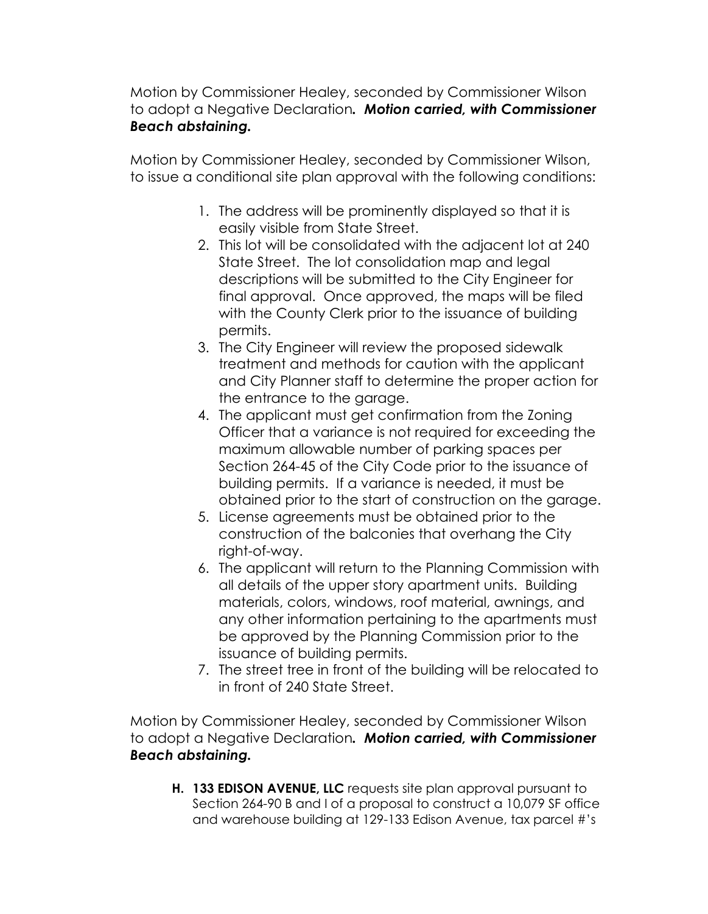Motion by Commissioner Healey, seconded by Commissioner Wilson to adopt a Negative Declaration*. Motion carried, with Commissioner Beach abstaining.*

Motion by Commissioner Healey, seconded by Commissioner Wilson, to issue a conditional site plan approval with the following conditions:

- 1. The address will be prominently displayed so that it is easily visible from State Street.
- 2. This lot will be consolidated with the adjacent lot at 240 State Street. The lot consolidation map and legal descriptions will be submitted to the City Engineer for final approval. Once approved, the maps will be filed with the County Clerk prior to the issuance of building permits.
- 3. The City Engineer will review the proposed sidewalk treatment and methods for caution with the applicant and City Planner staff to determine the proper action for the entrance to the garage.
- 4. The applicant must get confirmation from the Zoning Officer that a variance is not required for exceeding the maximum allowable number of parking spaces per Section 264-45 of the City Code prior to the issuance of building permits. If a variance is needed, it must be obtained prior to the start of construction on the garage.
- 5. License agreements must be obtained prior to the construction of the balconies that overhang the City right-of-way.
- 6. The applicant will return to the Planning Commission with all details of the upper story apartment units. Building materials, colors, windows, roof material, awnings, and any other information pertaining to the apartments must be approved by the Planning Commission prior to the issuance of building permits.
- 7. The street tree in front of the building will be relocated to in front of 240 State Street.

Motion by Commissioner Healey, seconded by Commissioner Wilson to adopt a Negative Declaration*. Motion carried, with Commissioner Beach abstaining.* 

**H. 133 EDISON AVENUE, LLC** requests site plan approval pursuant to Section 264-90 B and I of a proposal to construct a 10,079 SF office and warehouse building at 129-133 Edison Avenue, tax parcel #'s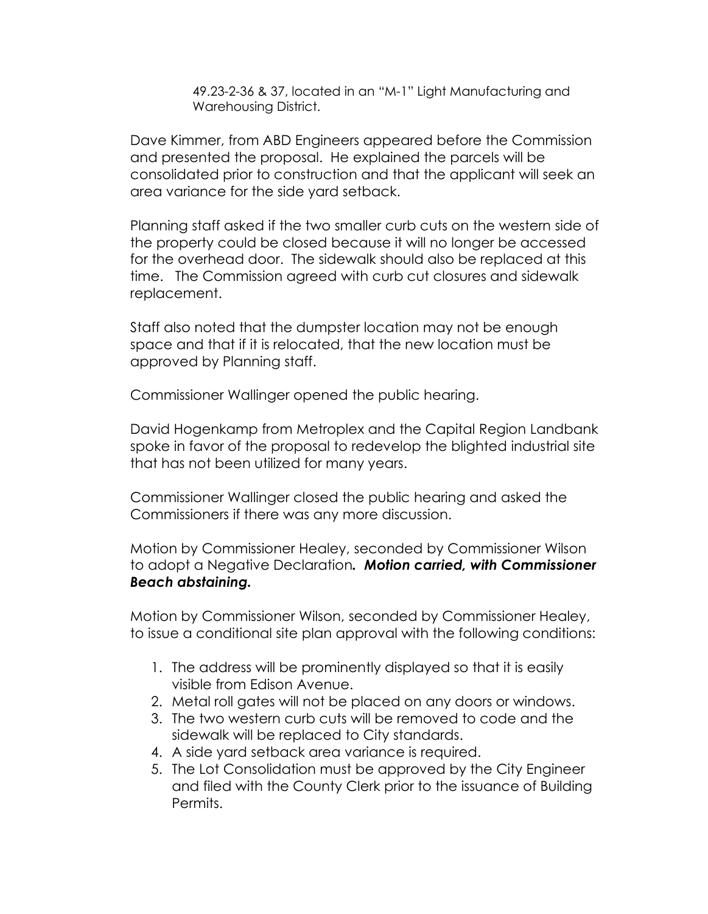49.23-2-36 & 37, located in an "M-1" Light Manufacturing and Warehousing District.

Dave Kimmer, from ABD Engineers appeared before the Commission and presented the proposal. He explained the parcels will be consolidated prior to construction and that the applicant will seek an area variance for the side yard setback.

Planning staff asked if the two smaller curb cuts on the western side of the property could be closed because it will no longer be accessed for the overhead door. The sidewalk should also be replaced at this time. The Commission agreed with curb cut closures and sidewalk replacement.

Staff also noted that the dumpster location may not be enough space and that if it is relocated, that the new location must be approved by Planning staff.

Commissioner Wallinger opened the public hearing.

David Hogenkamp from Metroplex and the Capital Region Landbank spoke in favor of the proposal to redevelop the blighted industrial site that has not been utilized for many years.

Commissioner Wallinger closed the public hearing and asked the Commissioners if there was any more discussion.

Motion by Commissioner Healey, seconded by Commissioner Wilson to adopt a Negative Declaration*. Motion carried, with Commissioner Beach abstaining.*

Motion by Commissioner Wilson, seconded by Commissioner Healey, to issue a conditional site plan approval with the following conditions:

- 1. The address will be prominently displayed so that it is easily visible from Edison Avenue.
- 2. Metal roll gates will not be placed on any doors or windows.
- 3. The two western curb cuts will be removed to code and the sidewalk will be replaced to City standards.
- 4. A side yard setback area variance is required.
- 5. The Lot Consolidation must be approved by the City Engineer and filed with the County Clerk prior to the issuance of Building Permits.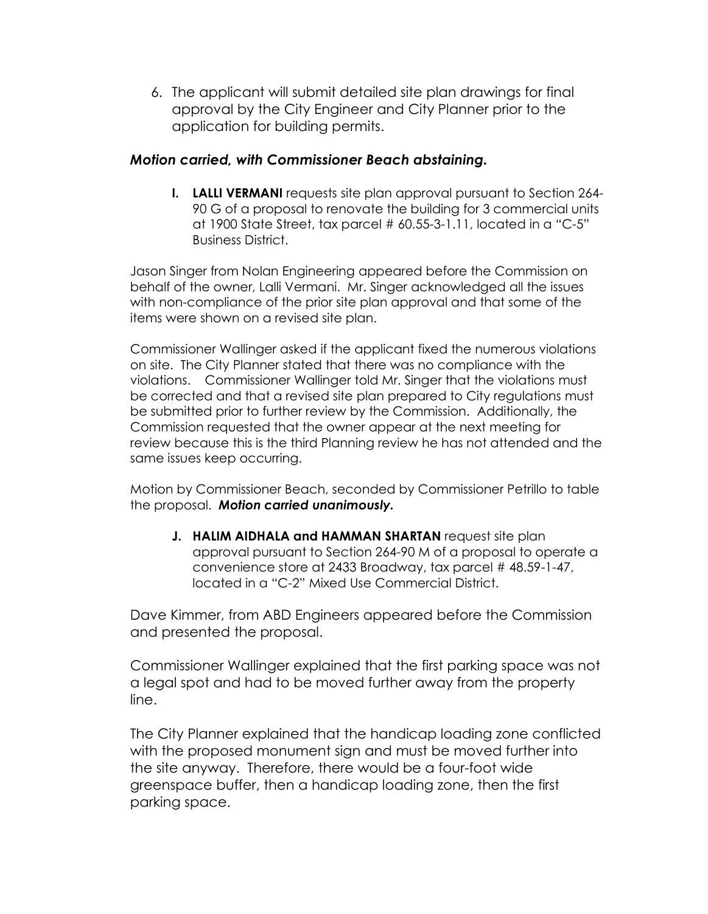6. The applicant will submit detailed site plan drawings for final approval by the City Engineer and City Planner prior to the application for building permits.

#### *Motion carried, with Commissioner Beach abstaining.*

**I. LALLI VERMANI** requests site plan approval pursuant to Section 264- 90 G of a proposal to renovate the building for 3 commercial units at 1900 State Street, tax parcel # 60.55-3-1.11, located in a "C-5" Business District.

Jason Singer from Nolan Engineering appeared before the Commission on behalf of the owner, Lalli Vermani. Mr. Singer acknowledged all the issues with non-compliance of the prior site plan approval and that some of the items were shown on a revised site plan.

Commissioner Wallinger asked if the applicant fixed the numerous violations on site. The City Planner stated that there was no compliance with the violations. Commissioner Wallinger told Mr. Singer that the violations must be corrected and that a revised site plan prepared to City regulations must be submitted prior to further review by the Commission. Additionally, the Commission requested that the owner appear at the next meeting for review because this is the third Planning review he has not attended and the same issues keep occurring.

Motion by Commissioner Beach, seconded by Commissioner Petrillo to table the proposal. *Motion carried unanimously.*

**J. HALIM AIDHALA and HAMMAN SHARTAN** request site plan approval pursuant to Section 264-90 M of a proposal to operate a convenience store at 2433 Broadway, tax parcel # 48.59-1-47, located in a "C-2" Mixed Use Commercial District.

Dave Kimmer, from ABD Engineers appeared before the Commission and presented the proposal.

Commissioner Wallinger explained that the first parking space was not a legal spot and had to be moved further away from the property line.

The City Planner explained that the handicap loading zone conflicted with the proposed monument sign and must be moved further into the site anyway. Therefore, there would be a four-foot wide greenspace buffer, then a handicap loading zone, then the first parking space.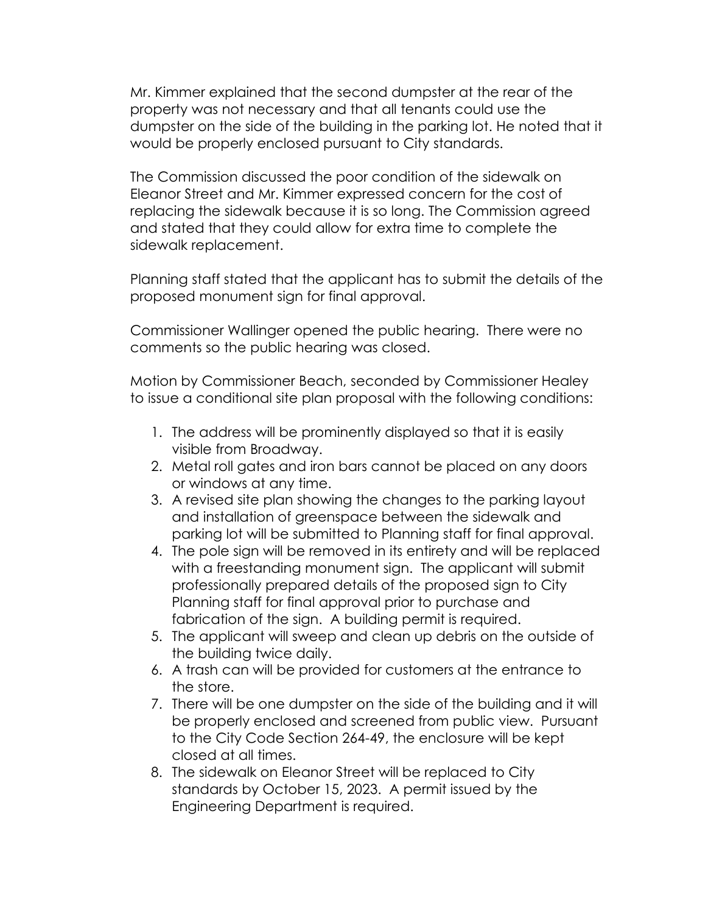Mr. Kimmer explained that the second dumpster at the rear of the property was not necessary and that all tenants could use the dumpster on the side of the building in the parking lot. He noted that it would be properly enclosed pursuant to City standards.

The Commission discussed the poor condition of the sidewalk on Eleanor Street and Mr. Kimmer expressed concern for the cost of replacing the sidewalk because it is so long. The Commission agreed and stated that they could allow for extra time to complete the sidewalk replacement.

Planning staff stated that the applicant has to submit the details of the proposed monument sign for final approval.

Commissioner Wallinger opened the public hearing. There were no comments so the public hearing was closed.

Motion by Commissioner Beach, seconded by Commissioner Healey to issue a conditional site plan proposal with the following conditions:

- 1. The address will be prominently displayed so that it is easily visible from Broadway.
- 2. Metal roll gates and iron bars cannot be placed on any doors or windows at any time.
- 3. A revised site plan showing the changes to the parking layout and installation of greenspace between the sidewalk and parking lot will be submitted to Planning staff for final approval.
- 4. The pole sign will be removed in its entirety and will be replaced with a freestanding monument sign. The applicant will submit professionally prepared details of the proposed sign to City Planning staff for final approval prior to purchase and fabrication of the sign. A building permit is required.
- 5. The applicant will sweep and clean up debris on the outside of the building twice daily.
- 6. A trash can will be provided for customers at the entrance to the store.
- 7. There will be one dumpster on the side of the building and it will be properly enclosed and screened from public view. Pursuant to the City Code Section 264-49, the enclosure will be kept closed at all times.
- 8. The sidewalk on Eleanor Street will be replaced to City standards by October 15, 2023. A permit issued by the Engineering Department is required.